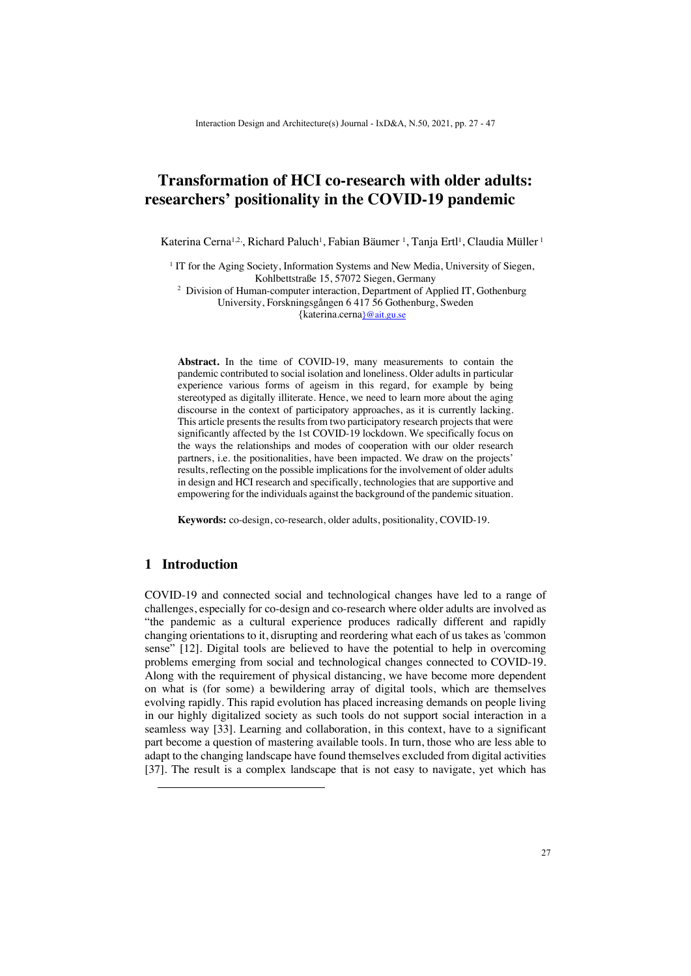# **Transformation of HCI co-research with older adults: researchers' positionality in the COVID-19 pandemic**

Katerina Cerna<sup>1,2,</sup>, Richard Paluch<sup>1</sup>, Fabian Bäumer <sup>1</sup>, Tanja Ertl<sup>1</sup>, Claudia Müller <sup>1</sup>

<sup>1</sup> IT for the Aging Society, Information Systems and New Media, University of Siegen, Kohlbettstraße 15, 57072 Siegen, Germany

<sup>2</sup> Division of Human-computer interaction, Department of Applied IT, Gothenburg University, Forskningsgången 6 417 56 Gothenburg, Sweden {katerina.cerna}@ait.gu.se

**Abstract.** In the time of COVID-19, many measurements to contain the pandemic contributed to social isolation and loneliness. Older adults in particular experience various forms of ageism in this regard, for example by being stereotyped as digitally illiterate. Hence, we need to learn more about the aging discourse in the context of participatory approaches, as it is currently lacking. This article presents the results from two participatory research projects that were significantly affected by the 1st COVID-19 lockdown. We specifically focus on the ways the relationships and modes of cooperation with our older research partners, i.e. the positionalities, have been impacted. We draw on the projects' results, reflecting on the possible implications for the involvement of older adults in design and HCI research and specifically, technologies that are supportive and empowering for the individuals against the background of the pandemic situation.

**Keywords:** co-design, co-research, older adults, positionality, COVID-19.

# **1 Introduction**

COVID-19 and connected social and technological changes have led to a range of challenges, especially for co-design and co-research where older adults are involved as "the pandemic as a cultural experience produces radically different and rapidly changing orientations to it, disrupting and reordering what each of us takes as 'common sense" [12]. Digital tools are believed to have the potential to help in overcoming problems emerging from social and technological changes connected to COVID-19. Along with the requirement of physical distancing, we have become more dependent on what is (for some) a bewildering array of digital tools, which are themselves evolving rapidly. This rapid evolution has placed increasing demands on people living in our highly digitalized society as such tools do not support social interaction in a seamless way [33]. Learning and collaboration, in this context, have to a significant part become a question of mastering available tools. In turn, those who are less able to adapt to the changing landscape have found themselves excluded from digital activities [37]. The result is a complex landscape that is not easy to navigate, yet which has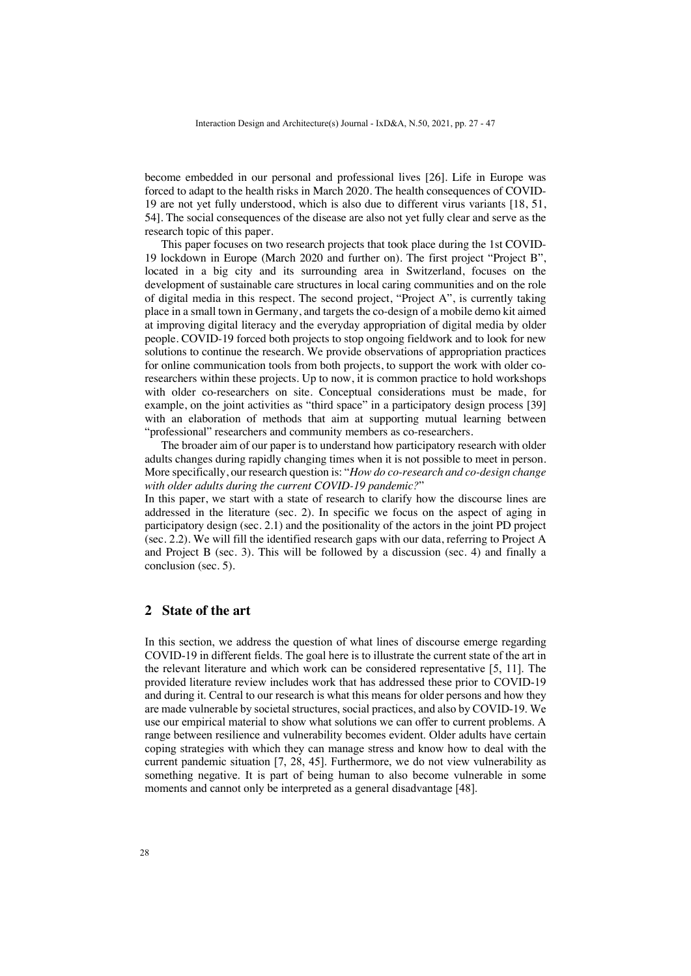become embedded in our personal and professional lives [26]. Life in Europe was forced to adapt to the health risks in March 2020. The health consequences of COVID-19 are not yet fully understood, which is also due to different virus variants [18, 51, 54]. The social consequences of the disease are also not yet fully clear and serve as the research topic of this paper.

This paper focuses on two research projects that took place during the 1st COVID-19 lockdown in Europe (March 2020 and further on). The first project "Project B", located in a big city and its surrounding area in Switzerland, focuses on the development of sustainable care structures in local caring communities and on the role of digital media in this respect. The second project, "Project A", is currently taking place in a small town in Germany, and targets the co-design of a mobile demo kit aimed at improving digital literacy and the everyday appropriation of digital media by older people. COVID-19 forced both projects to stop ongoing fieldwork and to look for new solutions to continue the research. We provide observations of appropriation practices for online communication tools from both projects, to support the work with older coresearchers within these projects. Up to now, it is common practice to hold workshops with older co-researchers on site. Conceptual considerations must be made, for example, on the joint activities as "third space" in a participatory design process [39] with an elaboration of methods that aim at supporting mutual learning between "professional" researchers and community members as co-researchers.

The broader aim of our paper is to understand how participatory research with older adults changes during rapidly changing times when it is not possible to meet in person. More specifically, our research question is: "*How do co-research and co-design change with older adults during the current COVID-19 pandemic?*"

In this paper, we start with a state of research to clarify how the discourse lines are addressed in the literature (sec. 2). In specific we focus on the aspect of aging in participatory design (sec. 2.1) and the positionality of the actors in the joint PD project (sec. 2.2). We will fill the identified research gaps with our data, referring to Project A and Project B (sec. 3). This will be followed by a discussion (sec. 4) and finally a conclusion (sec. 5).

### **2 State of the art**

In this section, we address the question of what lines of discourse emerge regarding COVID-19 in different fields. The goal here is to illustrate the current state of the art in the relevant literature and which work can be considered representative [5, 11]. The provided literature review includes work that has addressed these prior to COVID-19 and during it. Central to our research is what this means for older persons and how they are made vulnerable by societal structures, social practices, and also by COVID-19. We use our empirical material to show what solutions we can offer to current problems. A range between resilience and vulnerability becomes evident. Older adults have certain coping strategies with which they can manage stress and know how to deal with the current pandemic situation [7, 28, 45]. Furthermore, we do not view vulnerability as something negative. It is part of being human to also become vulnerable in some moments and cannot only be interpreted as a general disadvantage [48].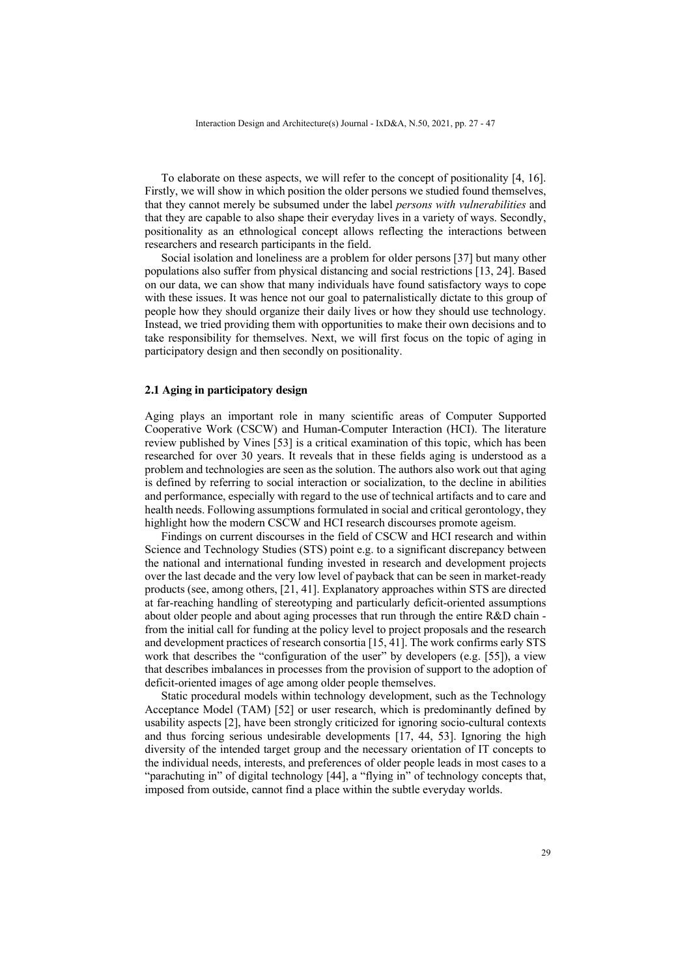To elaborate on these aspects, we will refer to the concept of positionality [4, 16]. Firstly, we will show in which position the older persons we studied found themselves, that they cannot merely be subsumed under the label *persons with vulnerabilities* and that they are capable to also shape their everyday lives in a variety of ways. Secondly, positionality as an ethnological concept allows reflecting the interactions between researchers and research participants in the field.

Social isolation and loneliness are a problem for older persons [37] but many other populations also suffer from physical distancing and social restrictions [13, 24]. Based on our data, we can show that many individuals have found satisfactory ways to cope with these issues. It was hence not our goal to paternalistically dictate to this group of people how they should organize their daily lives or how they should use technology. Instead, we tried providing them with opportunities to make their own decisions and to take responsibility for themselves. Next, we will first focus on the topic of aging in participatory design and then secondly on positionality.

#### **2.1 Aging in participatory design**

Aging plays an important role in many scientific areas of Computer Supported Cooperative Work (CSCW) and Human-Computer Interaction (HCI). The literature review published by Vines [53] is a critical examination of this topic, which has been researched for over 30 years. It reveals that in these fields aging is understood as a problem and technologies are seen as the solution. The authors also work out that aging is defined by referring to social interaction or socialization, to the decline in abilities and performance, especially with regard to the use of technical artifacts and to care and health needs. Following assumptions formulated in social and critical gerontology, they highlight how the modern CSCW and HCI research discourses promote ageism.

Findings on current discourses in the field of CSCW and HCI research and within Science and Technology Studies (STS) point e.g. to a significant discrepancy between the national and international funding invested in research and development projects over the last decade and the very low level of payback that can be seen in market-ready products (see, among others, [21, 41]. Explanatory approaches within STS are directed at far-reaching handling of stereotyping and particularly deficit-oriented assumptions about older people and about aging processes that run through the entire R&D chain from the initial call for funding at the policy level to project proposals and the research and development practices of research consortia [15, 41]. The work confirms early STS work that describes the "configuration of the user" by developers (e.g. [55]), a view that describes imbalances in processes from the provision of support to the adoption of deficit-oriented images of age among older people themselves.

Static procedural models within technology development, such as the Technology Acceptance Model (TAM) [52] or user research, which is predominantly defined by usability aspects [2], have been strongly criticized for ignoring socio-cultural contexts and thus forcing serious undesirable developments [17, 44, 53]. Ignoring the high diversity of the intended target group and the necessary orientation of IT concepts to the individual needs, interests, and preferences of older people leads in most cases to a "parachuting in" of digital technology [44], a "flying in" of technology concepts that, imposed from outside, cannot find a place within the subtle everyday worlds.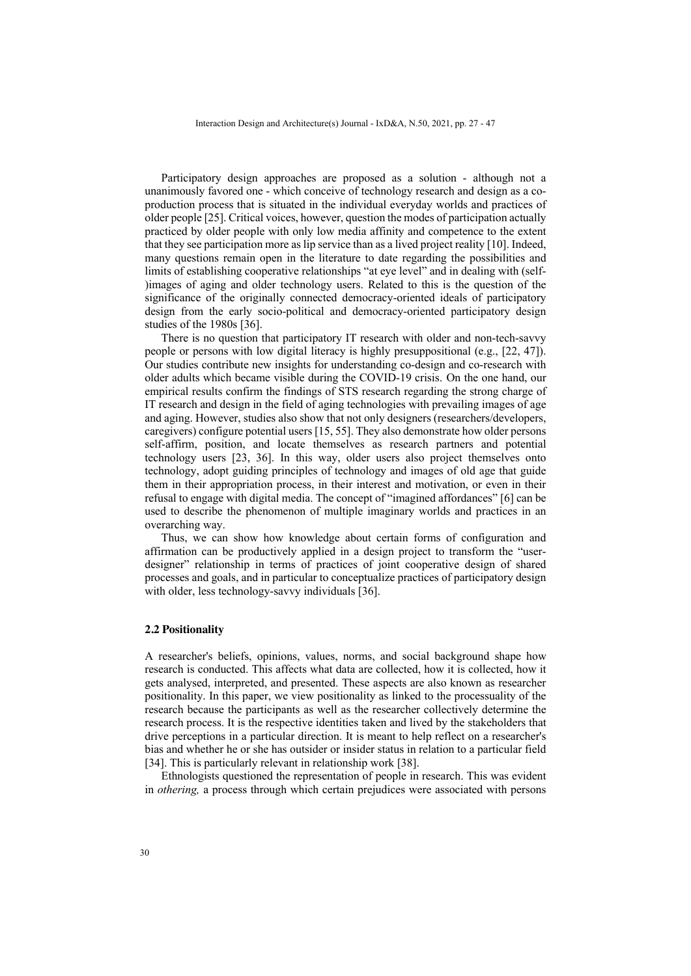Participatory design approaches are proposed as a solution - although not a unanimously favored one - which conceive of technology research and design as a coproduction process that is situated in the individual everyday worlds and practices of older people [25]. Critical voices, however, question the modes of participation actually practiced by older people with only low media affinity and competence to the extent that they see participation more as lip service than as a lived project reality [10]. Indeed, many questions remain open in the literature to date regarding the possibilities and limits of establishing cooperative relationships "at eye level" and in dealing with (self- )images of aging and older technology users. Related to this is the question of the significance of the originally connected democracy-oriented ideals of participatory design from the early socio-political and democracy-oriented participatory design studies of the 1980s [36].

There is no question that participatory IT research with older and non-tech-savvy people or persons with low digital literacy is highly presuppositional (e.g., [22, 47]). Our studies contribute new insights for understanding co-design and co-research with older adults which became visible during the COVID-19 crisis. On the one hand, our empirical results confirm the findings of STS research regarding the strong charge of IT research and design in the field of aging technologies with prevailing images of age and aging. However, studies also show that not only designers (researchers/developers, caregivers) configure potential users [15, 55]. They also demonstrate how older persons self-affirm, position, and locate themselves as research partners and potential technology users [23, 36]. In this way, older users also project themselves onto technology, adopt guiding principles of technology and images of old age that guide them in their appropriation process, in their interest and motivation, or even in their refusal to engage with digital media. The concept of "imagined affordances" [6] can be used to describe the phenomenon of multiple imaginary worlds and practices in an overarching way.

Thus, we can show how knowledge about certain forms of configuration and affirmation can be productively applied in a design project to transform the "userdesigner" relationship in terms of practices of joint cooperative design of shared processes and goals, and in particular to conceptualize practices of participatory design with older, less technology-savvy individuals [36].

#### **2.2 Positionality**

A researcher's beliefs, opinions, values, norms, and social background shape how research is conducted. This affects what data are collected, how it is collected, how it gets analysed, interpreted, and presented. These aspects are also known as researcher positionality. In this paper, we view positionality as linked to the processuality of the research because the participants as well as the researcher collectively determine the research process. It is the respective identities taken and lived by the stakeholders that drive perceptions in a particular direction. It is meant to help reflect on a researcher's bias and whether he or she has outsider or insider status in relation to a particular field [34]. This is particularly relevant in relationship work [38].

Ethnologists questioned the representation of people in research. This was evident in *othering,* a process through which certain prejudices were associated with persons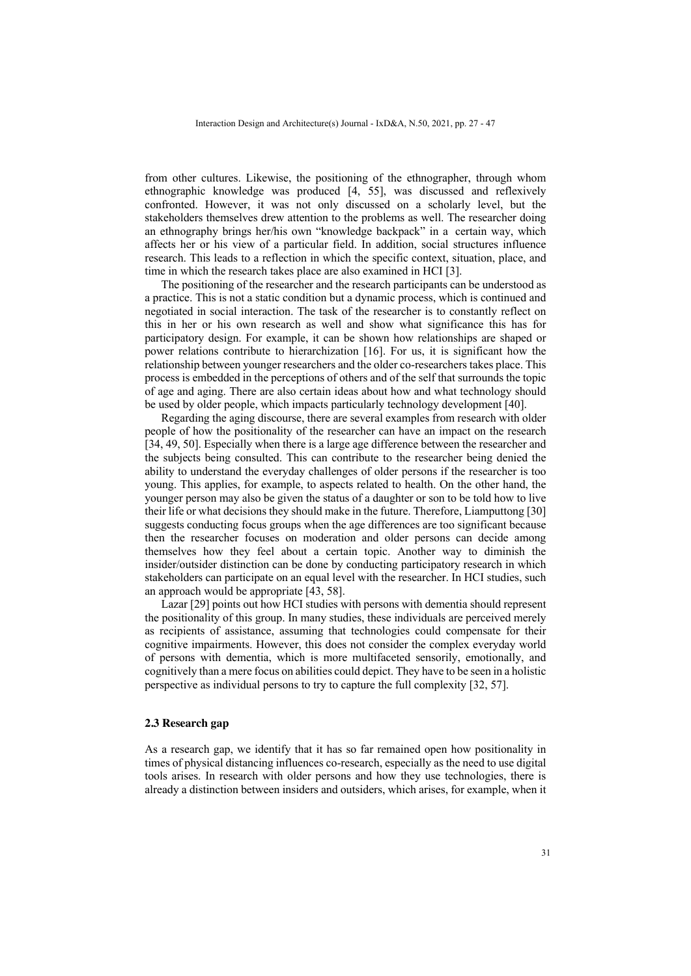from other cultures. Likewise, the positioning of the ethnographer, through whom ethnographic knowledge was produced [4, 55], was discussed and reflexively confronted. However, it was not only discussed on a scholarly level, but the stakeholders themselves drew attention to the problems as well. The researcher doing an ethnography brings her/his own "knowledge backpack" in a certain way, which affects her or his view of a particular field. In addition, social structures influence research. This leads to a reflection in which the specific context, situation, place, and time in which the research takes place are also examined in HCI [3].

The positioning of the researcher and the research participants can be understood as a practice. This is not a static condition but a dynamic process, which is continued and negotiated in social interaction. The task of the researcher is to constantly reflect on this in her or his own research as well and show what significance this has for participatory design. For example, it can be shown how relationships are shaped or power relations contribute to hierarchization [16]. For us, it is significant how the relationship between younger researchers and the older co-researchers takes place. This process is embedded in the perceptions of others and of the self that surrounds the topic of age and aging. There are also certain ideas about how and what technology should be used by older people, which impacts particularly technology development [40].

Regarding the aging discourse, there are several examples from research with older people of how the positionality of the researcher can have an impact on the research [34, 49, 50]. Especially when there is a large age difference between the researcher and the subjects being consulted. This can contribute to the researcher being denied the ability to understand the everyday challenges of older persons if the researcher is too young. This applies, for example, to aspects related to health. On the other hand, the younger person may also be given the status of a daughter or son to be told how to live their life or what decisions they should make in the future. Therefore, Liamputtong [30] suggests conducting focus groups when the age differences are too significant because then the researcher focuses on moderation and older persons can decide among themselves how they feel about a certain topic. Another way to diminish the insider/outsider distinction can be done by conducting participatory research in which stakeholders can participate on an equal level with the researcher. In HCI studies, such an approach would be appropriate [43, 58].

Lazar [29] points out how HCI studies with persons with dementia should represent the positionality of this group. In many studies, these individuals are perceived merely as recipients of assistance, assuming that technologies could compensate for their cognitive impairments. However, this does not consider the complex everyday world of persons with dementia, which is more multifaceted sensorily, emotionally, and cognitively than a mere focus on abilities could depict. They have to be seen in a holistic perspective as individual persons to try to capture the full complexity [32, 57].

#### **2.3 Research gap**

As a research gap, we identify that it has so far remained open how positionality in times of physical distancing influences co-research, especially as the need to use digital tools arises. In research with older persons and how they use technologies, there is already a distinction between insiders and outsiders, which arises, for example, when it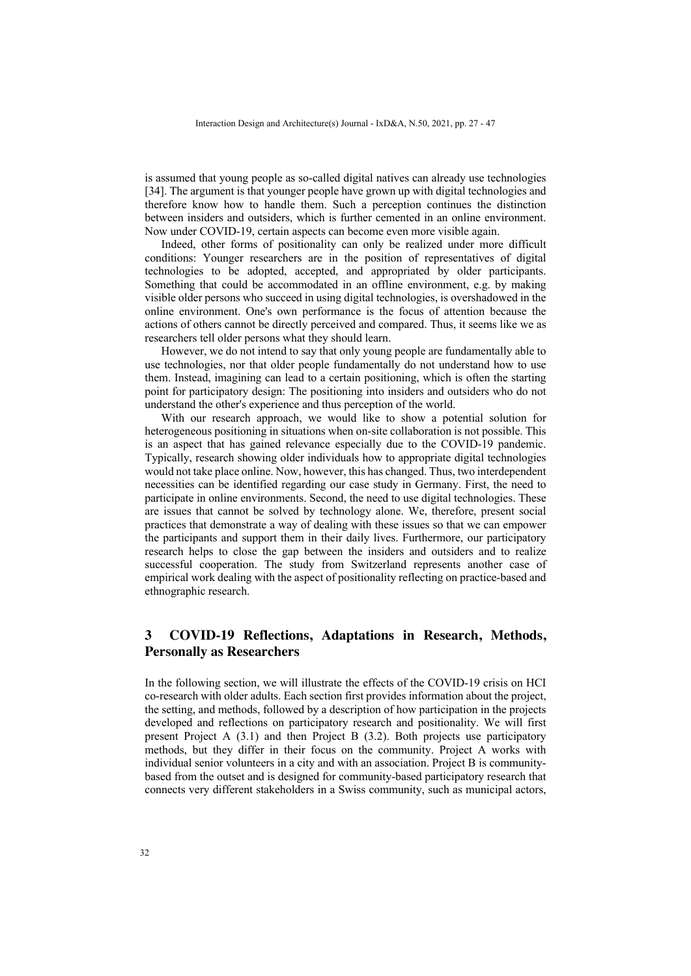is assumed that young people as so-called digital natives can already use technologies [34]. The argument is that younger people have grown up with digital technologies and therefore know how to handle them. Such a perception continues the distinction between insiders and outsiders, which is further cemented in an online environment. Now under COVID-19, certain aspects can become even more visible again.

Indeed, other forms of positionality can only be realized under more difficult conditions: Younger researchers are in the position of representatives of digital technologies to be adopted, accepted, and appropriated by older participants. Something that could be accommodated in an offline environment, e.g. by making visible older persons who succeed in using digital technologies, is overshadowed in the online environment. One's own performance is the focus of attention because the actions of others cannot be directly perceived and compared. Thus, it seems like we as researchers tell older persons what they should learn.

However, we do not intend to say that only young people are fundamentally able to use technologies, nor that older people fundamentally do not understand how to use them. Instead, imagining can lead to a certain positioning, which is often the starting point for participatory design: The positioning into insiders and outsiders who do not understand the other's experience and thus perception of the world.

With our research approach, we would like to show a potential solution for heterogeneous positioning in situations when on-site collaboration is not possible. This is an aspect that has gained relevance especially due to the COVID-19 pandemic. Typically, research showing older individuals how to appropriate digital technologies would not take place online. Now, however, this has changed. Thus, two interdependent necessities can be identified regarding our case study in Germany. First, the need to participate in online environments. Second, the need to use digital technologies. These are issues that cannot be solved by technology alone. We, therefore, present social practices that demonstrate a way of dealing with these issues so that we can empower the participants and support them in their daily lives. Furthermore, our participatory research helps to close the gap between the insiders and outsiders and to realize successful cooperation. The study from Switzerland represents another case of empirical work dealing with the aspect of positionality reflecting on practice-based and ethnographic research.

## **3 COVID-19 Reflections, Adaptations in Research, Methods, Personally as Researchers**

In the following section, we will illustrate the effects of the COVID-19 crisis on HCI co-research with older adults. Each section first provides information about the project, the setting, and methods, followed by a description of how participation in the projects developed and reflections on participatory research and positionality. We will first present Project A (3.1) and then Project B (3.2). Both projects use participatory methods, but they differ in their focus on the community. Project A works with individual senior volunteers in a city and with an association. Project B is communitybased from the outset and is designed for community-based participatory research that connects very different stakeholders in a Swiss community, such as municipal actors,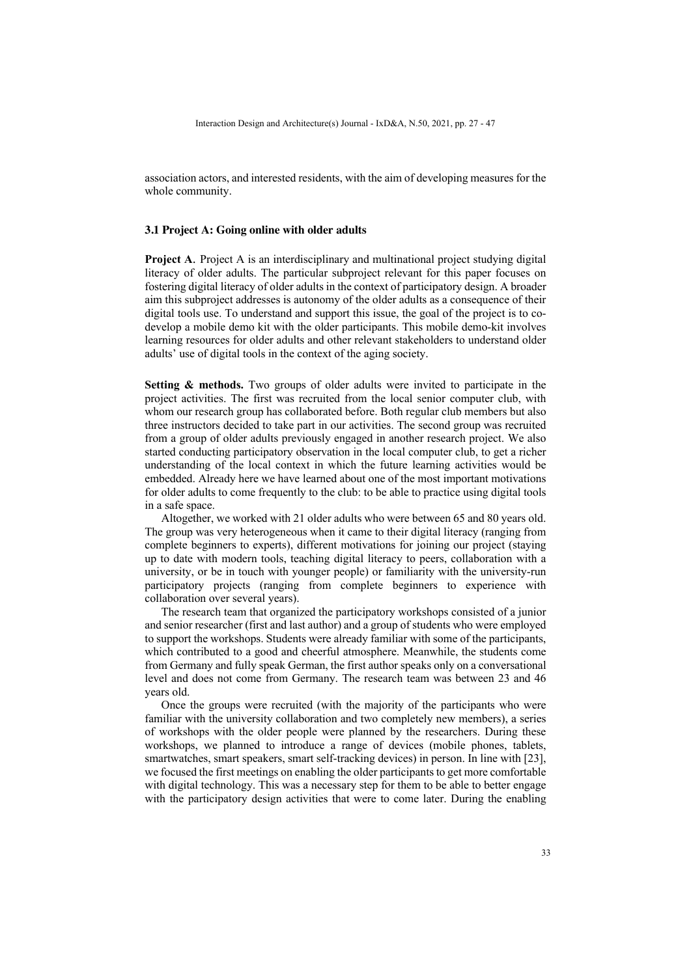association actors, and interested residents, with the aim of developing measures for the whole community.

#### **3.1 Project A: Going online with older adults**

**Project A.** Project A is an interdisciplinary and multinational project studying digital literacy of older adults. The particular subproject relevant for this paper focuses on fostering digital literacy of older adults in the context of participatory design. A broader aim this subproject addresses is autonomy of the older adults as a consequence of their digital tools use. To understand and support this issue, the goal of the project is to codevelop a mobile demo kit with the older participants. This mobile demo-kit involves learning resources for older adults and other relevant stakeholders to understand older adults' use of digital tools in the context of the aging society.

**Setting & methods.** Two groups of older adults were invited to participate in the project activities. The first was recruited from the local senior computer club, with whom our research group has collaborated before. Both regular club members but also three instructors decided to take part in our activities. The second group was recruited from a group of older adults previously engaged in another research project. We also started conducting participatory observation in the local computer club, to get a richer understanding of the local context in which the future learning activities would be embedded. Already here we have learned about one of the most important motivations for older adults to come frequently to the club: to be able to practice using digital tools in a safe space.

Altogether, we worked with 21 older adults who were between 65 and 80 years old. The group was very heterogeneous when it came to their digital literacy (ranging from complete beginners to experts), different motivations for joining our project (staying up to date with modern tools, teaching digital literacy to peers, collaboration with a university, or be in touch with younger people) or familiarity with the university-run participatory projects (ranging from complete beginners to experience with collaboration over several years).

The research team that organized the participatory workshops consisted of a junior and senior researcher (first and last author) and a group of students who were employed to support the workshops. Students were already familiar with some of the participants, which contributed to a good and cheerful atmosphere. Meanwhile, the students come from Germany and fully speak German, the first author speaks only on a conversational level and does not come from Germany. The research team was between 23 and 46 years old.

Once the groups were recruited (with the majority of the participants who were familiar with the university collaboration and two completely new members), a series of workshops with the older people were planned by the researchers. During these workshops, we planned to introduce a range of devices (mobile phones, tablets, smartwatches, smart speakers, smart self-tracking devices) in person. In line with [23], we focused the first meetings on enabling the older participants to get more comfortable with digital technology. This was a necessary step for them to be able to better engage with the participatory design activities that were to come later. During the enabling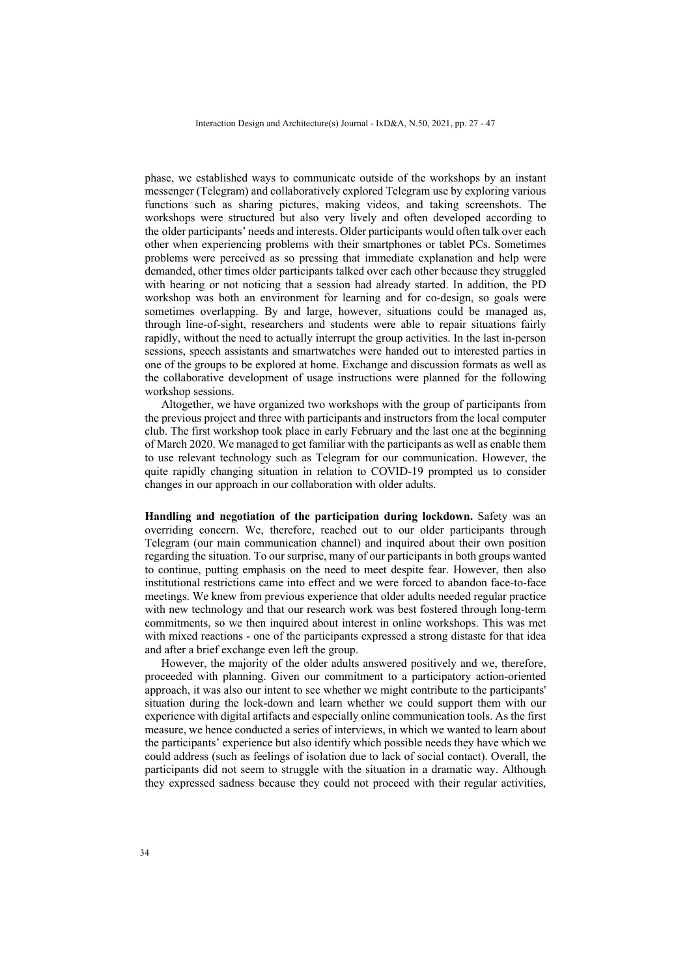phase, we established ways to communicate outside of the workshops by an instant messenger (Telegram) and collaboratively explored Telegram use by exploring various functions such as sharing pictures, making videos, and taking screenshots. The workshops were structured but also very lively and often developed according to the older participants' needs and interests. Older participants would often talk over each other when experiencing problems with their smartphones or tablet PCs. Sometimes problems were perceived as so pressing that immediate explanation and help were demanded, other times older participants talked over each other because they struggled with hearing or not noticing that a session had already started. In addition, the PD workshop was both an environment for learning and for co-design, so goals were sometimes overlapping. By and large, however, situations could be managed as, through line-of-sight, researchers and students were able to repair situations fairly rapidly, without the need to actually interrupt the group activities. In the last in-person sessions, speech assistants and smartwatches were handed out to interested parties in one of the groups to be explored at home. Exchange and discussion formats as well as the collaborative development of usage instructions were planned for the following workshop sessions.

Altogether, we have organized two workshops with the group of participants from the previous project and three with participants and instructors from the local computer club. The first workshop took place in early February and the last one at the beginning of March 2020. We managed to get familiar with the participants as well as enable them to use relevant technology such as Telegram for our communication. However, the quite rapidly changing situation in relation to COVID-19 prompted us to consider changes in our approach in our collaboration with older adults.

**Handling and negotiation of the participation during lockdown.** Safety was an overriding concern. We, therefore, reached out to our older participants through Telegram (our main communication channel) and inquired about their own position regarding the situation. To our surprise, many of our participants in both groups wanted to continue, putting emphasis on the need to meet despite fear. However, then also institutional restrictions came into effect and we were forced to abandon face-to-face meetings. We knew from previous experience that older adults needed regular practice with new technology and that our research work was best fostered through long-term commitments, so we then inquired about interest in online workshops. This was met with mixed reactions - one of the participants expressed a strong distaste for that idea and after a brief exchange even left the group.

However, the majority of the older adults answered positively and we, therefore, proceeded with planning. Given our commitment to a participatory action-oriented approach, it was also our intent to see whether we might contribute to the participants' situation during the lock-down and learn whether we could support them with our experience with digital artifacts and especially online communication tools. As the first measure, we hence conducted a series of interviews, in which we wanted to learn about the participants' experience but also identify which possible needs they have which we could address (such as feelings of isolation due to lack of social contact). Overall, the participants did not seem to struggle with the situation in a dramatic way. Although they expressed sadness because they could not proceed with their regular activities,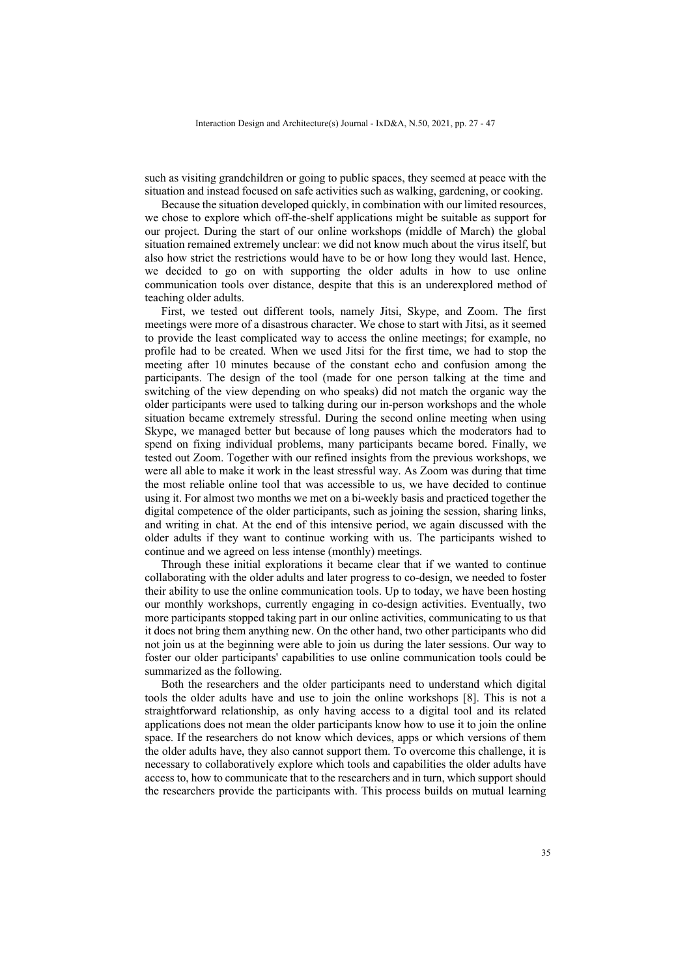such as visiting grandchildren or going to public spaces, they seemed at peace with the situation and instead focused on safe activities such as walking, gardening, or cooking.

Because the situation developed quickly, in combination with our limited resources, we chose to explore which off-the-shelf applications might be suitable as support for our project. During the start of our online workshops (middle of March) the global situation remained extremely unclear: we did not know much about the virus itself, but also how strict the restrictions would have to be or how long they would last. Hence, we decided to go on with supporting the older adults in how to use online communication tools over distance, despite that this is an underexplored method of teaching older adults.

First, we tested out different tools, namely Jitsi, Skype, and Zoom. The first meetings were more of a disastrous character. We chose to start with Jitsi, as it seemed to provide the least complicated way to access the online meetings; for example, no profile had to be created. When we used Jitsi for the first time, we had to stop the meeting after 10 minutes because of the constant echo and confusion among the participants. The design of the tool (made for one person talking at the time and switching of the view depending on who speaks) did not match the organic way the older participants were used to talking during our in-person workshops and the whole situation became extremely stressful. During the second online meeting when using Skype, we managed better but because of long pauses which the moderators had to spend on fixing individual problems, many participants became bored. Finally, we tested out Zoom. Together with our refined insights from the previous workshops, we were all able to make it work in the least stressful way. As Zoom was during that time the most reliable online tool that was accessible to us, we have decided to continue using it. For almost two months we met on a bi-weekly basis and practiced together the digital competence of the older participants, such as joining the session, sharing links, and writing in chat. At the end of this intensive period, we again discussed with the older adults if they want to continue working with us. The participants wished to continue and we agreed on less intense (monthly) meetings.

Through these initial explorations it became clear that if we wanted to continue collaborating with the older adults and later progress to co-design, we needed to foster their ability to use the online communication tools. Up to today, we have been hosting our monthly workshops, currently engaging in co-design activities. Eventually, two more participants stopped taking part in our online activities, communicating to us that it does not bring them anything new. On the other hand, two other participants who did not join us at the beginning were able to join us during the later sessions. Our way to foster our older participants' capabilities to use online communication tools could be summarized as the following.

Both the researchers and the older participants need to understand which digital tools the older adults have and use to join the online workshops [8]. This is not a straightforward relationship, as only having access to a digital tool and its related applications does not mean the older participants know how to use it to join the online space. If the researchers do not know which devices, apps or which versions of them the older adults have, they also cannot support them. To overcome this challenge, it is necessary to collaboratively explore which tools and capabilities the older adults have access to, how to communicate that to the researchers and in turn, which support should the researchers provide the participants with. This process builds on mutual learning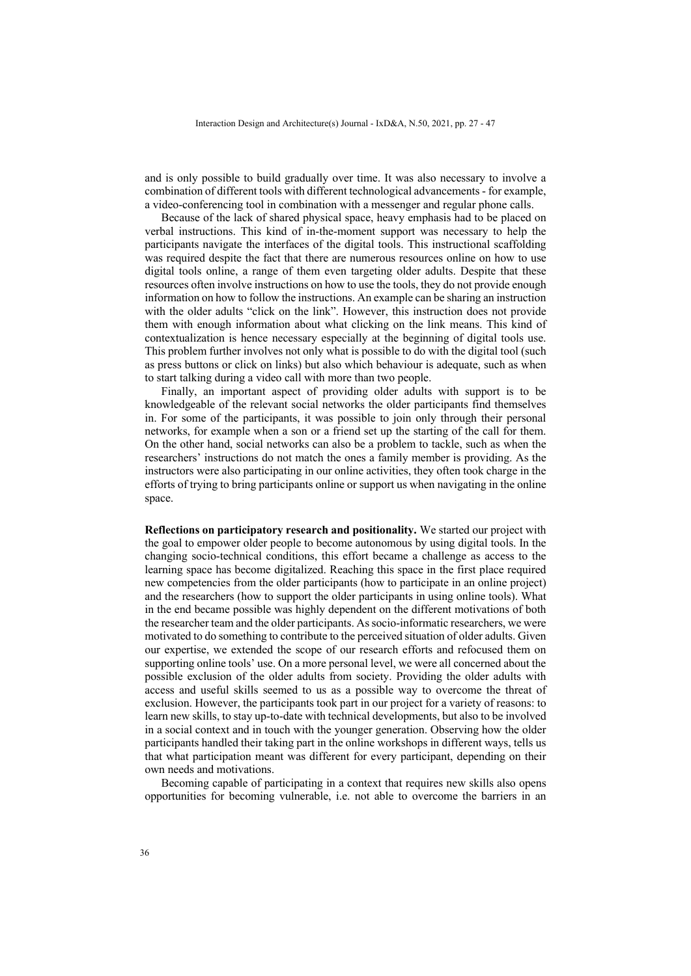and is only possible to build gradually over time. It was also necessary to involve a combination of different tools with different technological advancements - for example, a video-conferencing tool in combination with a messenger and regular phone calls.

Because of the lack of shared physical space, heavy emphasis had to be placed on verbal instructions. This kind of in-the-moment support was necessary to help the participants navigate the interfaces of the digital tools. This instructional scaffolding was required despite the fact that there are numerous resources online on how to use digital tools online, a range of them even targeting older adults. Despite that these resources often involve instructions on how to use the tools, they do not provide enough information on how to follow the instructions. An example can be sharing an instruction with the older adults "click on the link". However, this instruction does not provide them with enough information about what clicking on the link means. This kind of contextualization is hence necessary especially at the beginning of digital tools use. This problem further involves not only what is possible to do with the digital tool (such as press buttons or click on links) but also which behaviour is adequate, such as when to start talking during a video call with more than two people.

Finally, an important aspect of providing older adults with support is to be knowledgeable of the relevant social networks the older participants find themselves in. For some of the participants, it was possible to join only through their personal networks, for example when a son or a friend set up the starting of the call for them. On the other hand, social networks can also be a problem to tackle, such as when the researchers' instructions do not match the ones a family member is providing. As the instructors were also participating in our online activities, they often took charge in the efforts of trying to bring participants online or support us when navigating in the online space.

**Reflections on participatory research and positionality.** We started our project with the goal to empower older people to become autonomous by using digital tools. In the changing socio-technical conditions, this effort became a challenge as access to the learning space has become digitalized. Reaching this space in the first place required new competencies from the older participants (how to participate in an online project) and the researchers (how to support the older participants in using online tools). What in the end became possible was highly dependent on the different motivations of both the researcher team and the older participants. As socio-informatic researchers, we were motivated to do something to contribute to the perceived situation of older adults. Given our expertise, we extended the scope of our research efforts and refocused them on supporting online tools' use. On a more personal level, we were all concerned about the possible exclusion of the older adults from society. Providing the older adults with access and useful skills seemed to us as a possible way to overcome the threat of exclusion. However, the participants took part in our project for a variety of reasons: to learn new skills, to stay up-to-date with technical developments, but also to be involved in a social context and in touch with the younger generation. Observing how the older participants handled their taking part in the online workshops in different ways, tells us that what participation meant was different for every participant, depending on their own needs and motivations.

Becoming capable of participating in a context that requires new skills also opens opportunities for becoming vulnerable, i.e. not able to overcome the barriers in an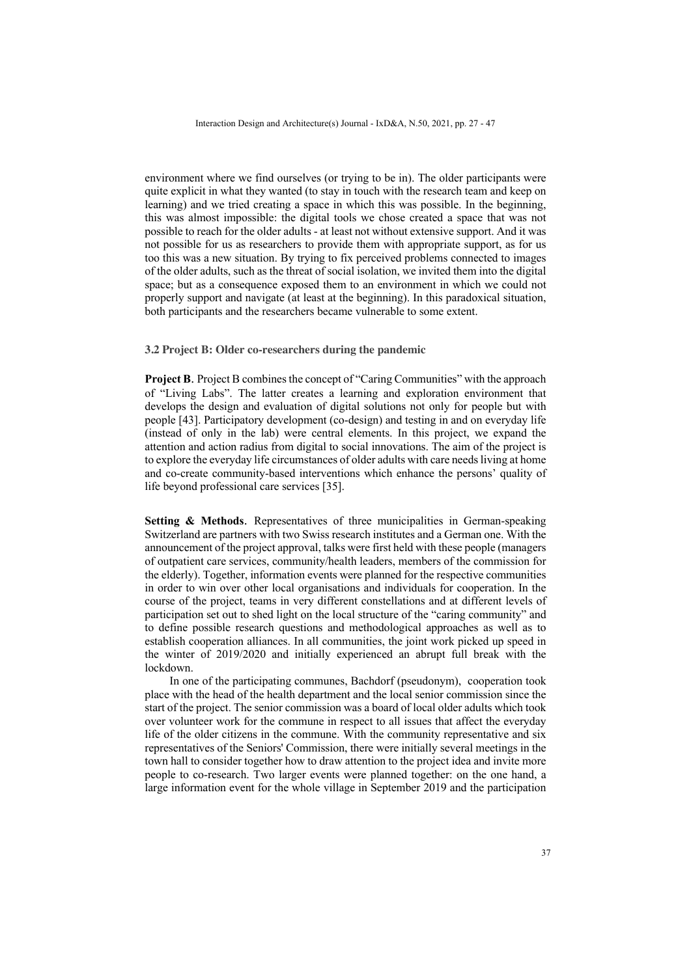environment where we find ourselves (or trying to be in). The older participants were quite explicit in what they wanted (to stay in touch with the research team and keep on learning) and we tried creating a space in which this was possible. In the beginning, this was almost impossible: the digital tools we chose created a space that was not possible to reach for the older adults - at least not without extensive support. And it was not possible for us as researchers to provide them with appropriate support, as for us too this was a new situation. By trying to fix perceived problems connected to images of the older adults, such as the threat of social isolation, we invited them into the digital space; but as a consequence exposed them to an environment in which we could not properly support and navigate (at least at the beginning). In this paradoxical situation, both participants and the researchers became vulnerable to some extent.

### **3.2 Project B: Older co-researchers during the pandemic**

**Project B.** Project B combines the concept of "Caring Communities" with the approach of "Living Labs". The latter creates a learning and exploration environment that develops the design and evaluation of digital solutions not only for people but with people [43]. Participatory development (co-design) and testing in and on everyday life (instead of only in the lab) were central elements. In this project, we expand the attention and action radius from digital to social innovations. The aim of the project is to explore the everyday life circumstances of older adults with care needs living at home and co-create community-based interventions which enhance the persons' quality of life beyond professional care services [35].

**Setting & Methods.** Representatives of three municipalities in German-speaking Switzerland are partners with two Swiss research institutes and a German one. With the announcement of the project approval, talks were first held with these people (managers of outpatient care services, community/health leaders, members of the commission for the elderly). Together, information events were planned for the respective communities in order to win over other local organisations and individuals for cooperation. In the course of the project, teams in very different constellations and at different levels of participation set out to shed light on the local structure of the "caring community" and to define possible research questions and methodological approaches as well as to establish cooperation alliances. In all communities, the joint work picked up speed in the winter of 2019/2020 and initially experienced an abrupt full break with the lockdown.

In one of the participating communes, Bachdorf (pseudonym), cooperation took place with the head of the health department and the local senior commission since the start of the project. The senior commission was a board of local older adults which took over volunteer work for the commune in respect to all issues that affect the everyday life of the older citizens in the commune. With the community representative and six representatives of the Seniors' Commission, there were initially several meetings in the town hall to consider together how to draw attention to the project idea and invite more people to co-research. Two larger events were planned together: on the one hand, a large information event for the whole village in September 2019 and the participation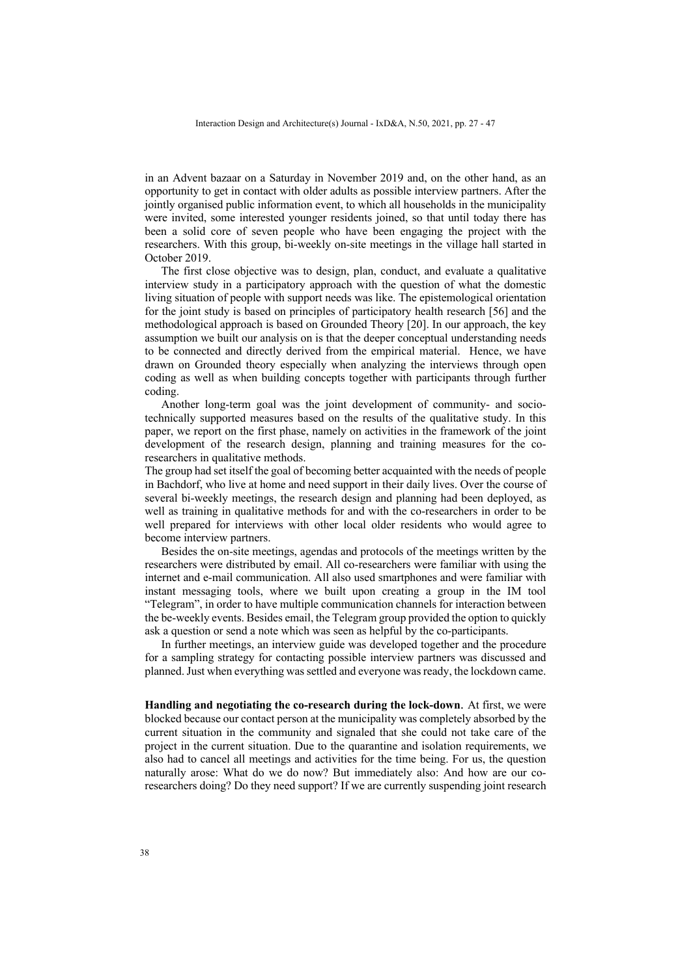in an Advent bazaar on a Saturday in November 2019 and, on the other hand, as an opportunity to get in contact with older adults as possible interview partners. After the jointly organised public information event, to which all households in the municipality were invited, some interested younger residents joined, so that until today there has been a solid core of seven people who have been engaging the project with the researchers. With this group, bi-weekly on-site meetings in the village hall started in October 2019.

The first close objective was to design, plan, conduct, and evaluate a qualitative interview study in a participatory approach with the question of what the domestic living situation of people with support needs was like. The epistemological orientation for the joint study is based on principles of participatory health research [56] and the methodological approach is based on Grounded Theory [20]. In our approach, the key assumption we built our analysis on is that the deeper conceptual understanding needs to be connected and directly derived from the empirical material. Hence, we have drawn on Grounded theory especially when analyzing the interviews through open coding as well as when building concepts together with participants through further coding.

Another long-term goal was the joint development of community- and sociotechnically supported measures based on the results of the qualitative study. In this paper, we report on the first phase, namely on activities in the framework of the joint development of the research design, planning and training measures for the coresearchers in qualitative methods.

The group had set itself the goal of becoming better acquainted with the needs of people in Bachdorf, who live at home and need support in their daily lives. Over the course of several bi-weekly meetings, the research design and planning had been deployed, as well as training in qualitative methods for and with the co-researchers in order to be well prepared for interviews with other local older residents who would agree to become interview partners.

Besides the on-site meetings, agendas and protocols of the meetings written by the researchers were distributed by email. All co-researchers were familiar with using the internet and e-mail communication. All also used smartphones and were familiar with instant messaging tools, where we built upon creating a group in the IM tool "Telegram", in order to have multiple communication channels for interaction between the be-weekly events. Besides email, the Telegram group provided the option to quickly ask a question or send a note which was seen as helpful by the co-participants.

In further meetings, an interview guide was developed together and the procedure for a sampling strategy for contacting possible interview partners was discussed and planned. Just when everything was settled and everyone was ready, the lockdown came.

**Handling and negotiating the co-research during the lock-down**. At first, we were blocked because our contact person at the municipality was completely absorbed by the current situation in the community and signaled that she could not take care of the project in the current situation. Due to the quarantine and isolation requirements, we also had to cancel all meetings and activities for the time being. For us, the question naturally arose: What do we do now? But immediately also: And how are our coresearchers doing? Do they need support? If we are currently suspending joint research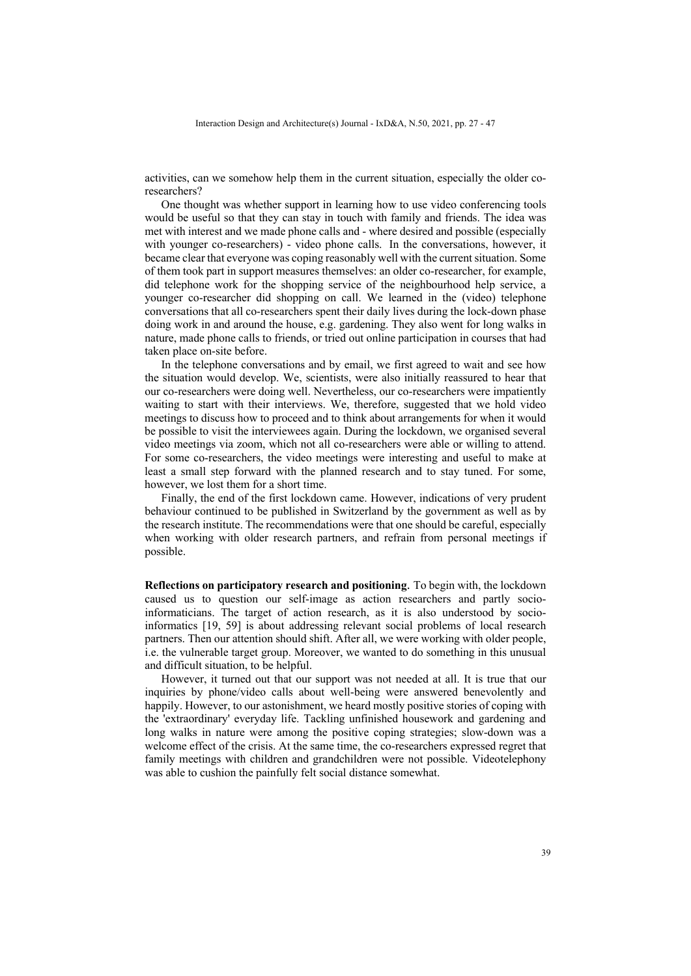activities, can we somehow help them in the current situation, especially the older coresearchers?

One thought was whether support in learning how to use video conferencing tools would be useful so that they can stay in touch with family and friends. The idea was met with interest and we made phone calls and - where desired and possible (especially with younger co-researchers) - video phone calls. In the conversations, however, it became clear that everyone was coping reasonably well with the current situation. Some of them took part in support measures themselves: an older co-researcher, for example, did telephone work for the shopping service of the neighbourhood help service, a younger co-researcher did shopping on call. We learned in the (video) telephone conversations that all co-researchers spent their daily lives during the lock-down phase doing work in and around the house, e.g. gardening. They also went for long walks in nature, made phone calls to friends, or tried out online participation in courses that had taken place on-site before.

In the telephone conversations and by email, we first agreed to wait and see how the situation would develop. We, scientists, were also initially reassured to hear that our co-researchers were doing well. Nevertheless, our co-researchers were impatiently waiting to start with their interviews. We, therefore, suggested that we hold video meetings to discuss how to proceed and to think about arrangements for when it would be possible to visit the interviewees again. During the lockdown, we organised several video meetings via zoom, which not all co-researchers were able or willing to attend. For some co-researchers, the video meetings were interesting and useful to make at least a small step forward with the planned research and to stay tuned. For some, however, we lost them for a short time.

Finally, the end of the first lockdown came. However, indications of very prudent behaviour continued to be published in Switzerland by the government as well as by the research institute. The recommendations were that one should be careful, especially when working with older research partners, and refrain from personal meetings if possible.

**Reflections on participatory research and positioning**. To begin with, the lockdown caused us to question our self-image as action researchers and partly socioinformaticians. The target of action research, as it is also understood by socioinformatics [19, 59] is about addressing relevant social problems of local research partners. Then our attention should shift. After all, we were working with older people, i.e. the vulnerable target group. Moreover, we wanted to do something in this unusual and difficult situation, to be helpful.

However, it turned out that our support was not needed at all. It is true that our inquiries by phone/video calls about well-being were answered benevolently and happily. However, to our astonishment, we heard mostly positive stories of coping with the 'extraordinary' everyday life. Tackling unfinished housework and gardening and long walks in nature were among the positive coping strategies; slow-down was a welcome effect of the crisis. At the same time, the co-researchers expressed regret that family meetings with children and grandchildren were not possible. Videotelephony was able to cushion the painfully felt social distance somewhat.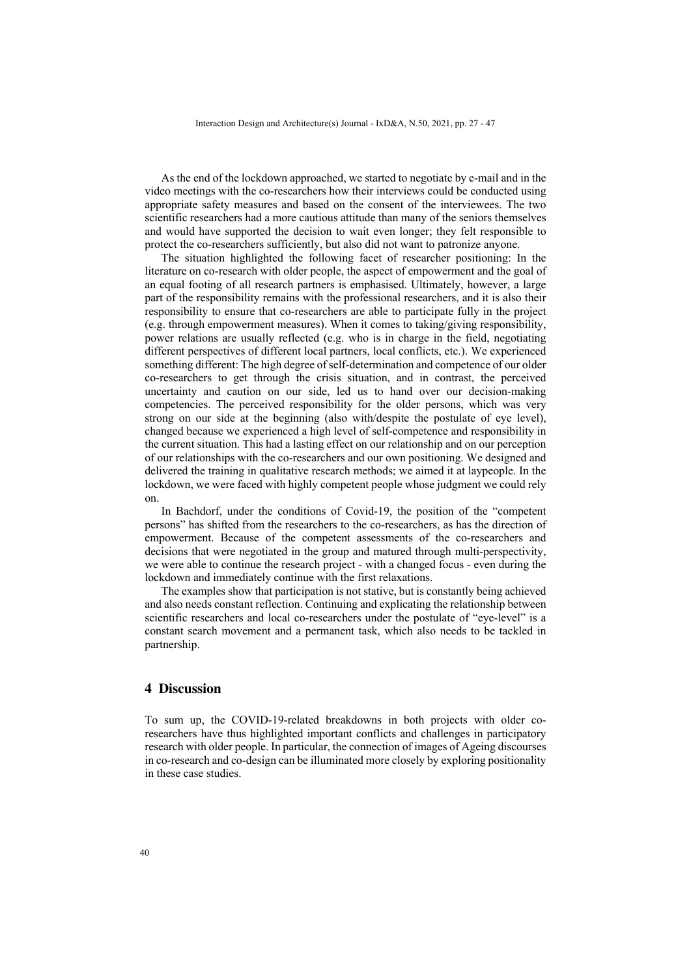As the end of the lockdown approached, we started to negotiate by e-mail and in the video meetings with the co-researchers how their interviews could be conducted using appropriate safety measures and based on the consent of the interviewees. The two scientific researchers had a more cautious attitude than many of the seniors themselves and would have supported the decision to wait even longer; they felt responsible to protect the co-researchers sufficiently, but also did not want to patronize anyone.

The situation highlighted the following facet of researcher positioning: In the literature on co-research with older people, the aspect of empowerment and the goal of an equal footing of all research partners is emphasised. Ultimately, however, a large part of the responsibility remains with the professional researchers, and it is also their responsibility to ensure that co-researchers are able to participate fully in the project (e.g. through empowerment measures). When it comes to taking/giving responsibility, power relations are usually reflected (e.g. who is in charge in the field, negotiating different perspectives of different local partners, local conflicts, etc.). We experienced something different: The high degree of self-determination and competence of our older co-researchers to get through the crisis situation, and in contrast, the perceived uncertainty and caution on our side, led us to hand over our decision-making competencies. The perceived responsibility for the older persons, which was very strong on our side at the beginning (also with/despite the postulate of eye level), changed because we experienced a high level of self-competence and responsibility in the current situation. This had a lasting effect on our relationship and on our perception of our relationships with the co-researchers and our own positioning. We designed and delivered the training in qualitative research methods; we aimed it at laypeople. In the lockdown, we were faced with highly competent people whose judgment we could rely on.

In Bachdorf, under the conditions of Covid-19, the position of the "competent persons" has shifted from the researchers to the co-researchers, as has the direction of empowerment. Because of the competent assessments of the co-researchers and decisions that were negotiated in the group and matured through multi-perspectivity, we were able to continue the research project - with a changed focus - even during the lockdown and immediately continue with the first relaxations.

The examples show that participation is not stative, but is constantly being achieved and also needs constant reflection. Continuing and explicating the relationship between scientific researchers and local co-researchers under the postulate of "eye-level" is a constant search movement and a permanent task, which also needs to be tackled in partnership.

### **4 Discussion**

To sum up, the COVID-19-related breakdowns in both projects with older coresearchers have thus highlighted important conflicts and challenges in participatory research with older people. In particular, the connection of images of Ageing discourses in co-research and co-design can be illuminated more closely by exploring positionality in these case studies.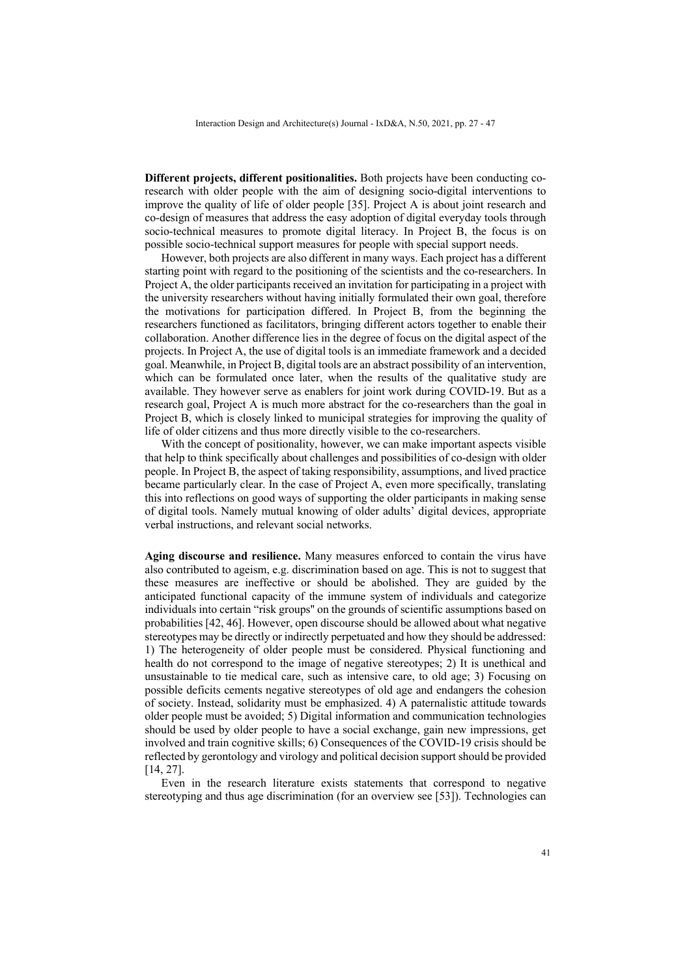**Different projects, different positionalities.** Both projects have been conducting coresearch with older people with the aim of designing socio-digital interventions to improve the quality of life of older people [35]. Project A is about joint research and co-design of measures that address the easy adoption of digital everyday tools through socio-technical measures to promote digital literacy. In Project B, the focus is on possible socio-technical support measures for people with special support needs.

However, both projects are also different in many ways. Each project has a different starting point with regard to the positioning of the scientists and the co-researchers. In Project A, the older participants received an invitation for participating in a project with the university researchers without having initially formulated their own goal, therefore the motivations for participation differed. In Project B, from the beginning the researchers functioned as facilitators, bringing different actors together to enable their collaboration. Another difference lies in the degree of focus on the digital aspect of the projects. In Project A, the use of digital tools is an immediate framework and a decided goal. Meanwhile, in Project B, digital tools are an abstract possibility of an intervention, which can be formulated once later, when the results of the qualitative study are available. They however serve as enablers for joint work during COVID-19. But as a research goal, Project A is much more abstract for the co-researchers than the goal in Project B, which is closely linked to municipal strategies for improving the quality of life of older citizens and thus more directly visible to the co-researchers.

With the concept of positionality, however, we can make important aspects visible that help to think specifically about challenges and possibilities of co-design with older people. In Project B, the aspect of taking responsibility, assumptions, and lived practice became particularly clear. In the case of Project A, even more specifically, translating this into reflections on good ways of supporting the older participants in making sense of digital tools. Namely mutual knowing of older adults' digital devices, appropriate verbal instructions, and relevant social networks.

**Aging discourse and resilience.** Many measures enforced to contain the virus have also contributed to ageism, e.g. discrimination based on age. This is not to suggest that these measures are ineffective or should be abolished. They are guided by the anticipated functional capacity of the immune system of individuals and categorize individuals into certain "risk groups'' on the grounds of scientific assumptions based on probabilities [42, 46]. However, open discourse should be allowed about what negative stereotypes may be directly or indirectly perpetuated and how they should be addressed: 1) The heterogeneity of older people must be considered. Physical functioning and health do not correspond to the image of negative stereotypes; 2) It is unethical and unsustainable to tie medical care, such as intensive care, to old age; 3) Focusing on possible deficits cements negative stereotypes of old age and endangers the cohesion of society. Instead, solidarity must be emphasized. 4) A paternalistic attitude towards older people must be avoided; 5) Digital information and communication technologies should be used by older people to have a social exchange, gain new impressions, get involved and train cognitive skills; 6) Consequences of the COVID-19 crisis should be reflected by gerontology and virology and political decision support should be provided [14, 27].

Even in the research literature exists statements that correspond to negative stereotyping and thus age discrimination (for an overview see [53]). Technologies can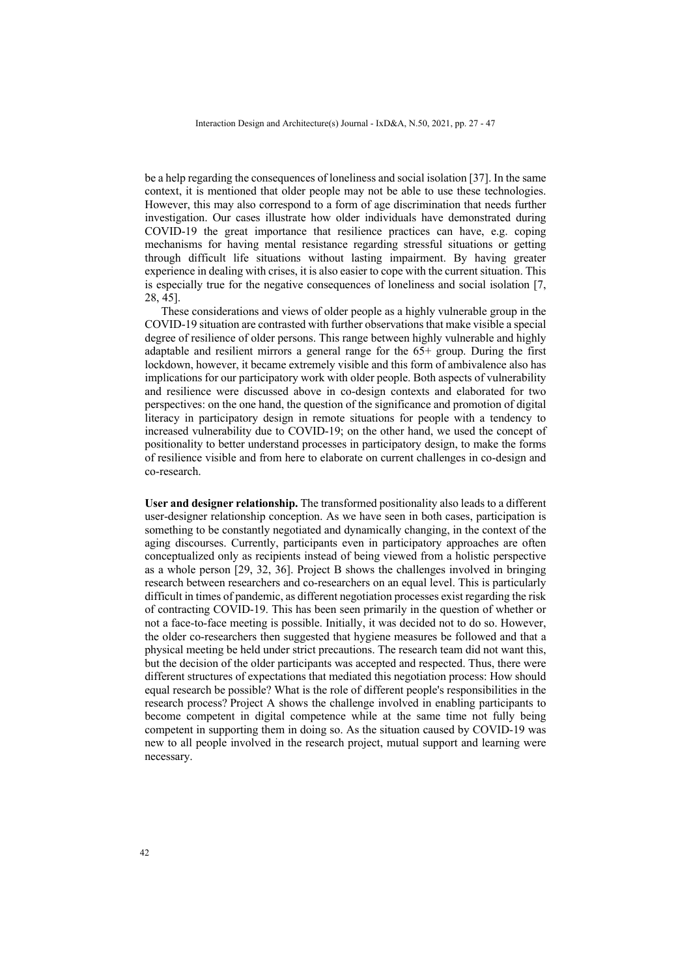be a help regarding the consequences of loneliness and social isolation [37]. In the same context, it is mentioned that older people may not be able to use these technologies. However, this may also correspond to a form of age discrimination that needs further investigation. Our cases illustrate how older individuals have demonstrated during COVID-19 the great importance that resilience practices can have, e.g. coping mechanisms for having mental resistance regarding stressful situations or getting through difficult life situations without lasting impairment. By having greater experience in dealing with crises, it is also easier to cope with the current situation. This is especially true for the negative consequences of loneliness and social isolation [7, 28, 45].

These considerations and views of older people as a highly vulnerable group in the COVID-19 situation are contrasted with further observations that make visible a special degree of resilience of older persons. This range between highly vulnerable and highly adaptable and resilient mirrors a general range for the 65+ group. During the first lockdown, however, it became extremely visible and this form of ambivalence also has implications for our participatory work with older people. Both aspects of vulnerability and resilience were discussed above in co-design contexts and elaborated for two perspectives: on the one hand, the question of the significance and promotion of digital literacy in participatory design in remote situations for people with a tendency to increased vulnerability due to COVID-19; on the other hand, we used the concept of positionality to better understand processes in participatory design, to make the forms of resilience visible and from here to elaborate on current challenges in co-design and co-research.

**User and designer relationship.** The transformed positionality also leads to a different user-designer relationship conception. As we have seen in both cases, participation is something to be constantly negotiated and dynamically changing, in the context of the aging discourses. Currently, participants even in participatory approaches are often conceptualized only as recipients instead of being viewed from a holistic perspective as a whole person [29, 32, 36]. Project B shows the challenges involved in bringing research between researchers and co-researchers on an equal level. This is particularly difficult in times of pandemic, as different negotiation processes exist regarding the risk of contracting COVID-19. This has been seen primarily in the question of whether or not a face-to-face meeting is possible. Initially, it was decided not to do so. However, the older co-researchers then suggested that hygiene measures be followed and that a physical meeting be held under strict precautions. The research team did not want this, but the decision of the older participants was accepted and respected. Thus, there were different structures of expectations that mediated this negotiation process: How should equal research be possible? What is the role of different people's responsibilities in the research process? Project A shows the challenge involved in enabling participants to become competent in digital competence while at the same time not fully being competent in supporting them in doing so. As the situation caused by COVID-19 was new to all people involved in the research project, mutual support and learning were necessary.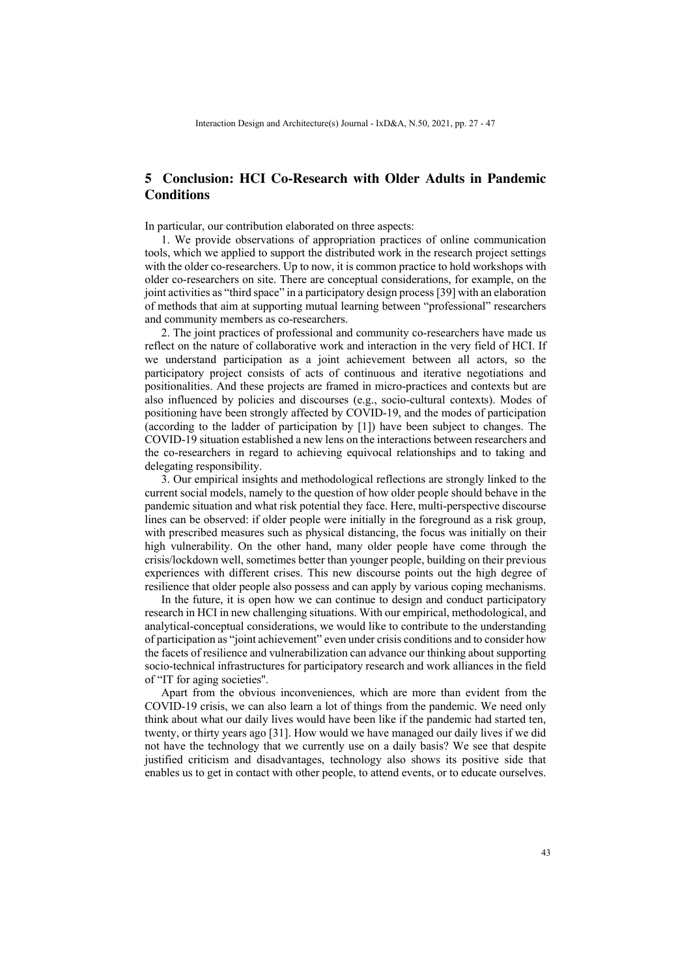# **5 Conclusion: HCI Co-Research with Older Adults in Pandemic Conditions**

In particular, our contribution elaborated on three aspects:

1. We provide observations of appropriation practices of online communication tools, which we applied to support the distributed work in the research project settings with the older co-researchers. Up to now, it is common practice to hold workshops with older co-researchers on site. There are conceptual considerations, for example, on the joint activities as "third space" in a participatory design process [39] with an elaboration of methods that aim at supporting mutual learning between "professional" researchers and community members as co-researchers.

2. The joint practices of professional and community co-researchers have made us reflect on the nature of collaborative work and interaction in the very field of HCI. If we understand participation as a joint achievement between all actors, so the participatory project consists of acts of continuous and iterative negotiations and positionalities. And these projects are framed in micro-practices and contexts but are also influenced by policies and discourses (e.g., socio-cultural contexts). Modes of positioning have been strongly affected by COVID-19, and the modes of participation (according to the ladder of participation by [1]) have been subject to changes. The COVID-19 situation established a new lens on the interactions between researchers and the co-researchers in regard to achieving equivocal relationships and to taking and delegating responsibility.

3. Our empirical insights and methodological reflections are strongly linked to the current social models, namely to the question of how older people should behave in the pandemic situation and what risk potential they face. Here, multi-perspective discourse lines can be observed: if older people were initially in the foreground as a risk group, with prescribed measures such as physical distancing, the focus was initially on their high vulnerability. On the other hand, many older people have come through the crisis/lockdown well, sometimes better than younger people, building on their previous experiences with different crises. This new discourse points out the high degree of resilience that older people also possess and can apply by various coping mechanisms.

In the future, it is open how we can continue to design and conduct participatory research in HCI in new challenging situations. With our empirical, methodological, and analytical-conceptual considerations, we would like to contribute to the understanding of participation as "joint achievement" even under crisis conditions and to consider how the facets of resilience and vulnerabilization can advance our thinking about supporting socio-technical infrastructures for participatory research and work alliances in the field of "IT for aging societies''.

Apart from the obvious inconveniences, which are more than evident from the COVID-19 crisis, we can also learn a lot of things from the pandemic. We need only think about what our daily lives would have been like if the pandemic had started ten, twenty, or thirty years ago [31]. How would we have managed our daily lives if we did not have the technology that we currently use on a daily basis? We see that despite justified criticism and disadvantages, technology also shows its positive side that enables us to get in contact with other people, to attend events, or to educate ourselves.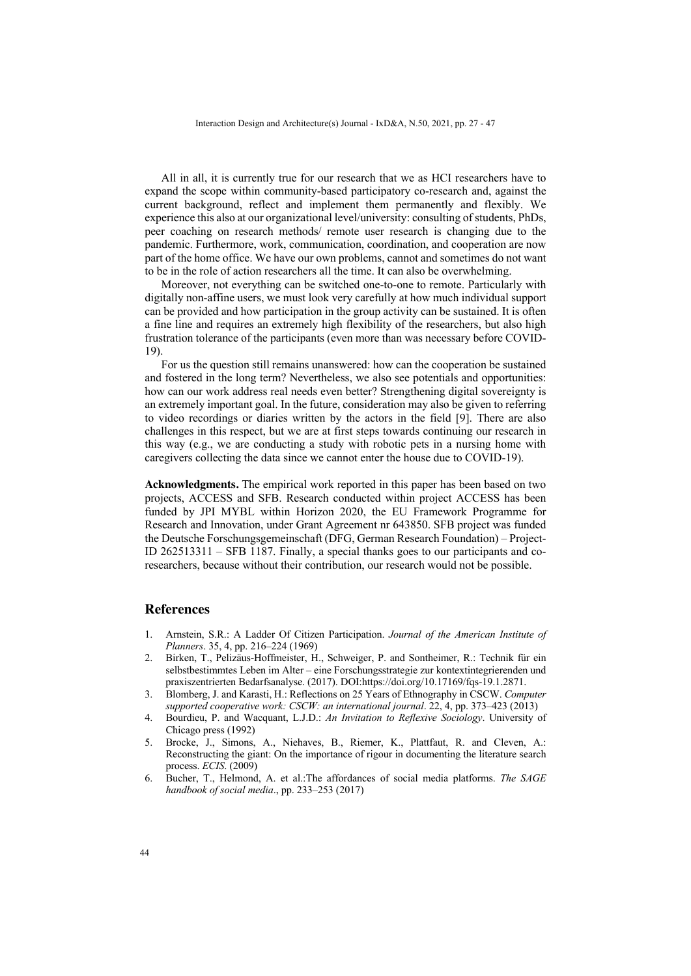All in all, it is currently true for our research that we as HCI researchers have to expand the scope within community-based participatory co-research and, against the current background, reflect and implement them permanently and flexibly. We experience this also at our organizational level/university: consulting of students, PhDs, peer coaching on research methods/ remote user research is changing due to the pandemic. Furthermore, work, communication, coordination, and cooperation are now part of the home office. We have our own problems, cannot and sometimes do not want to be in the role of action researchers all the time. It can also be overwhelming.

Moreover, not everything can be switched one-to-one to remote. Particularly with digitally non-affine users, we must look very carefully at how much individual support can be provided and how participation in the group activity can be sustained. It is often a fine line and requires an extremely high flexibility of the researchers, but also high frustration tolerance of the participants (even more than was necessary before COVID-19).

For us the question still remains unanswered: how can the cooperation be sustained and fostered in the long term? Nevertheless, we also see potentials and opportunities: how can our work address real needs even better? Strengthening digital sovereignty is an extremely important goal. In the future, consideration may also be given to referring to video recordings or diaries written by the actors in the field [9]. There are also challenges in this respect, but we are at first steps towards continuing our research in this way (e.g., we are conducting a study with robotic pets in a nursing home with caregivers collecting the data since we cannot enter the house due to COVID-19).

**Acknowledgments.** The empirical work reported in this paper has been based on two projects, ACCESS and SFB. Research conducted within project ACCESS has been funded by JPI MYBL within Horizon 2020, the EU Framework Programme for Research and Innovation, under Grant Agreement nr 643850. SFB project was funded the Deutsche Forschungsgemeinschaft (DFG, German Research Foundation) – Project-ID 262513311 – SFB 1187. Finally, a special thanks goes to our participants and coresearchers, because without their contribution, our research would not be possible.

### **References**

- 1. Arnstein, S.R.: A Ladder Of Citizen Participation. *Journal of the American Institute of Planners*. 35, 4, pp. 216–224 (1969)
- 2. Birken, T., Pelizäus-Hoffmeister, H., Schweiger, P. and Sontheimer, R.: Technik für ein selbstbestimmtes Leben im Alter – eine Forschungsstrategie zur kontextintegrierenden und praxiszentrierten Bedarfsanalyse. (2017). DOI:https://doi.org/10.17169/fqs-19.1.2871.
- 3. Blomberg, J. and Karasti, H.: Reflections on 25 Years of Ethnography in CSCW. *Computer supported cooperative work: CSCW: an international journal*. 22, 4, pp. 373–423 (2013)
- 4. Bourdieu, P. and Wacquant, L.J.D.: *An Invitation to Reflexive Sociology*. University of Chicago press (1992)
- 5. Brocke, J., Simons, A., Niehaves, B., Riemer, K., Plattfaut, R. and Cleven, A.: Reconstructing the giant: On the importance of rigour in documenting the literature search process. *ECIS*. (2009)
- 6. Bucher, T., Helmond, A. et al.:The affordances of social media platforms. *The SAGE handbook of social media*., pp. 233–253 (2017)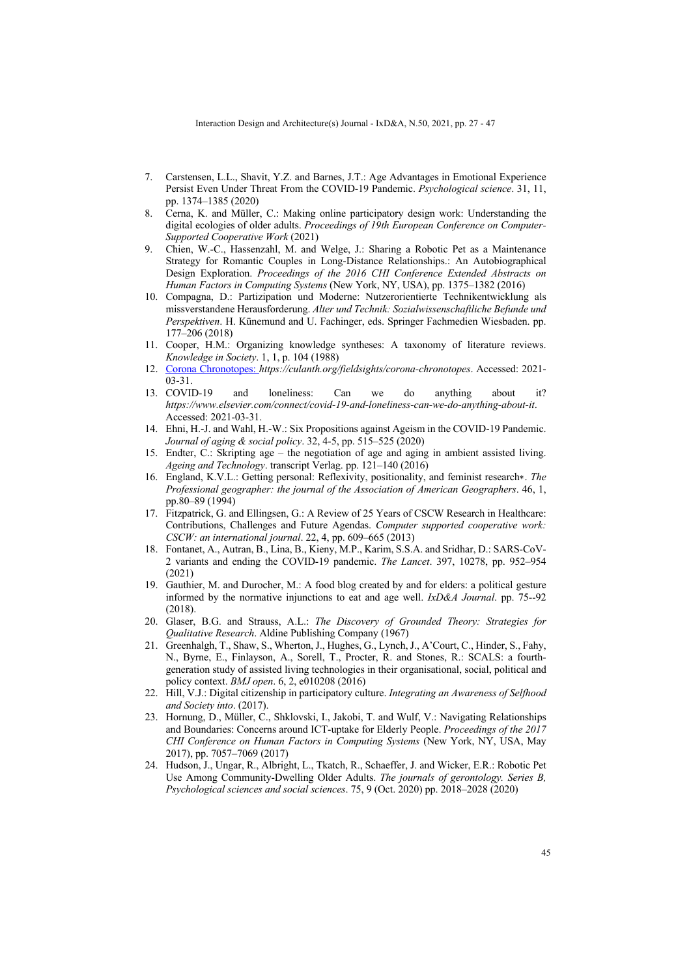- 7. Carstensen, L.L., Shavit, Y.Z. and Barnes, J.T.: Age Advantages in Emotional Experience Persist Even Under Threat From the COVID-19 Pandemic. *Psychological science*. 31, 11, pp. 1374–1385 (2020)
- 8. Cerna, K. and Müller, C.: Making online participatory design work: Understanding the digital ecologies of older adults. *Proceedings of 19th European Conference on Computer-Supported Cooperative Work* (2021)
- 9. Chien, W.-C., Hassenzahl, M. and Welge, J.: Sharing a Robotic Pet as a Maintenance Strategy for Romantic Couples in Long-Distance Relationships.: An Autobiographical Design Exploration. *Proceedings of the 2016 CHI Conference Extended Abstracts on Human Factors in Computing Systems* (New York, NY, USA), pp. 1375–1382 (2016)
- 10. Compagna, D.: Partizipation und Moderne: Nutzerorientierte Technikentwicklung als missverstandene Herausforderung. *Alter und Technik: Sozialwissenschaftliche Befunde und Perspektiven*. H. Künemund and U. Fachinger, eds. Springer Fachmedien Wiesbaden. pp. 177–206 (2018)
- 11. Cooper, H.M.: Organizing knowledge syntheses: A taxonomy of literature reviews. *Knowledge in Society*. 1, 1, p. 104 (1988)
- 12. Corona Chronotopes: *https://culanth.org/fieldsights/corona-chronotopes*. Accessed: 2021- 03-31.
- 13. COVID-19 and loneliness: Can we do anything about it? *https://www.elsevier.com/connect/covid-19-and-loneliness-can-we-do-anything-about-it*. Accessed: 2021-03-31.
- 14. Ehni, H.-J. and Wahl, H.-W.: Six Propositions against Ageism in the COVID-19 Pandemic. *Journal of aging & social policy*. 32, 4-5, pp. 515–525 (2020)
- 15. Endter, C.: Skripting age the negotiation of age and aging in ambient assisted living. *Ageing and Technology*. transcript Verlag. pp. 121–140 (2016)
- 16. England, K.V.L.: Getting personal: Reflexivity, positionality, and feminist research∗. *The Professional geographer: the journal of the Association of American Geographers*. 46, 1, pp.80–89 (1994)
- 17. Fitzpatrick, G. and Ellingsen, G.: A Review of 25 Years of CSCW Research in Healthcare: Contributions, Challenges and Future Agendas. *Computer supported cooperative work: CSCW: an international journal*. 22, 4, pp. 609–665 (2013)
- 18. Fontanet, A., Autran, B., Lina, B., Kieny, M.P., Karim, S.S.A. and Sridhar, D.: SARS-CoV-2 variants and ending the COVID-19 pandemic. *The Lancet*. 397, 10278, pp. 952–954 (2021)
- 19. Gauthier, M. and Durocher, M.: A food blog created by and for elders: a political gesture informed by the normative injunctions to eat and age well. *IxD&A Journal*. pp. 75--92 (2018).
- 20. Glaser, B.G. and Strauss, A.L.: *The Discovery of Grounded Theory: Strategies for Qualitative Research*. Aldine Publishing Company (1967)
- 21. Greenhalgh, T., Shaw, S., Wherton, J., Hughes, G., Lynch, J., A'Court, C., Hinder, S., Fahy, N., Byrne, E., Finlayson, A., Sorell, T., Procter, R. and Stones, R.: SCALS: a fourthgeneration study of assisted living technologies in their organisational, social, political and policy context. *BMJ open*. 6, 2, e010208 (2016)
- 22. Hill, V.J.: Digital citizenship in participatory culture. *Integrating an Awareness of Selfhood and Society into*. (2017).
- 23. Hornung, D., Müller, C., Shklovski, I., Jakobi, T. and Wulf, V.: Navigating Relationships and Boundaries: Concerns around ICT-uptake for Elderly People. *Proceedings of the 2017 CHI Conference on Human Factors in Computing Systems* (New York, NY, USA, May 2017), pp. 7057–7069 (2017)
- 24. Hudson, J., Ungar, R., Albright, L., Tkatch, R., Schaeffer, J. and Wicker, E.R.: Robotic Pet Use Among Community-Dwelling Older Adults. *The journals of gerontology. Series B, Psychological sciences and social sciences*. 75, 9 (Oct. 2020) pp. 2018–2028 (2020)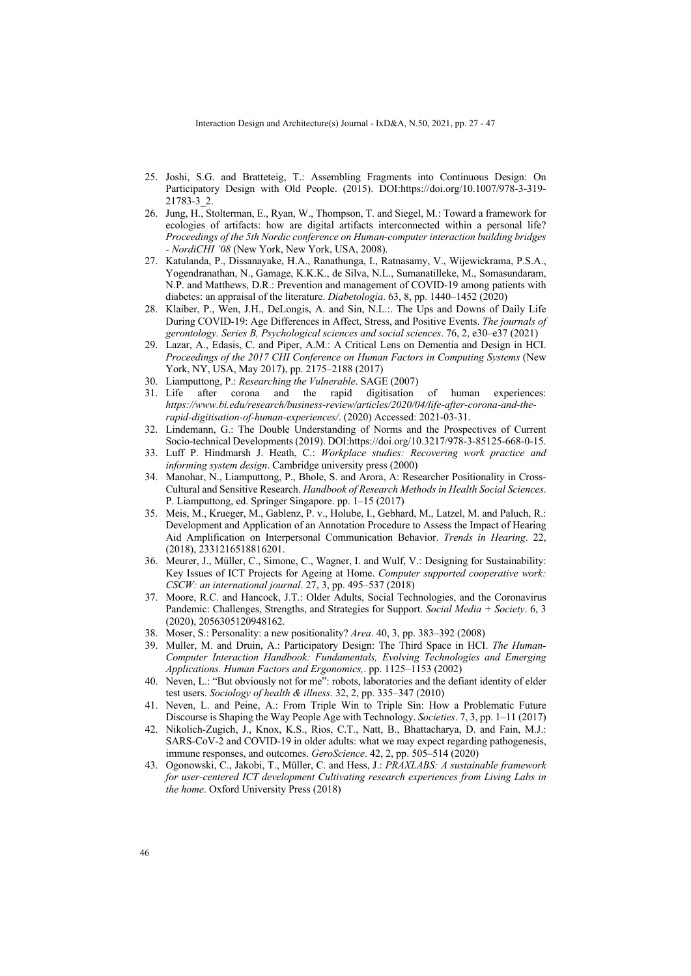- 25. Joshi, S.G. and Bratteteig, T.: Assembling Fragments into Continuous Design: On Participatory Design with Old People. (2015). DOI:https://doi.org/10.1007/978-3-319- 21783-3\_2.
- 26. Jung, H., Stolterman, E., Ryan, W., Thompson, T. and Siegel, M.: Toward a framework for ecologies of artifacts: how are digital artifacts interconnected within a personal life? *Proceedings of the 5th Nordic conference on Human-computer interaction building bridges - NordiCHI '08* (New York, New York, USA, 2008).
- 27. Katulanda, P., Dissanayake, H.A., Ranathunga, I., Ratnasamy, V., Wijewickrama, P.S.A., Yogendranathan, N., Gamage, K.K.K., de Silva, N.L., Sumanatilleke, M., Somasundaram, N.P. and Matthews, D.R.: Prevention and management of COVID-19 among patients with diabetes: an appraisal of the literature. *Diabetologia*. 63, 8, pp. 1440–1452 (2020)
- 28. Klaiber, P., Wen, J.H., DeLongis, A. and Sin, N.L.:. The Ups and Downs of Daily Life During COVID-19: Age Differences in Affect, Stress, and Positive Events. *The journals of gerontology. Series B, Psychological sciences and social sciences*. 76, 2, e30–e37 (2021)
- 29. Lazar, A., Edasis, C. and Piper, A.M.: A Critical Lens on Dementia and Design in HCI. *Proceedings of the 2017 CHI Conference on Human Factors in Computing Systems* (New York, NY, USA, May 2017), pp. 2175–2188 (2017)
- 30. Liamputtong, P.: *Researching the Vulnerable*. SAGE (2007)
- 31. Life after corona and the rapid digitisation of human experiences: *https://www.bi.edu/research/business-review/articles/2020/04/life-after-corona-and-therapid-digitisation-of-human-experiences/*. (2020) Accessed: 2021-03-31.
- 32. Lindemann, G.: The Double Understanding of Norms and the Prospectives of Current Socio-technical Developments (2019). DOI:https://doi.org/10.3217/978-3-85125-668-0-15.
- 33. Luff P. Hindmarsh J. Heath, C.: *Workplace studies: Recovering work practice and informing system design*. Cambridge university press (2000)
- 34. Manohar, N., Liamputtong, P., Bhole, S. and Arora, A: Researcher Positionality in Cross-Cultural and Sensitive Research. *Handbook of Research Methods in Health Social Sciences*. P. Liamputtong, ed. Springer Singapore. pp. 1–15 (2017)
- 35. Meis, M., Krueger, M., Gablenz, P. v., Holube, I., Gebhard, M., Latzel, M. and Paluch, R.: Development and Application of an Annotation Procedure to Assess the Impact of Hearing Aid Amplification on Interpersonal Communication Behavior. *Trends in Hearing*. 22, (2018), 2331216518816201.
- 36. Meurer, J., Müller, C., Simone, C., Wagner, I. and Wulf, V.: Designing for Sustainability: Key Issues of ICT Projects for Ageing at Home. *Computer supported cooperative work: CSCW: an international journal*. 27, 3, pp. 495–537 (2018)
- 37. Moore, R.C. and Hancock, J.T.: Older Adults, Social Technologies, and the Coronavirus Pandemic: Challenges, Strengths, and Strategies for Support. *Social Media + Society*. 6, 3 (2020), 2056305120948162.
- 38. Moser, S.: Personality: a new positionality? *Area*. 40, 3, pp. 383–392 (2008)
- 39. Muller, M. and Druin, A.: Participatory Design: The Third Space in HCI. *The Human-Computer Interaction Handbook: Fundamentals, Evolving Technologies and Emerging Applications. Human Factors and Ergonomics,*. pp. 1125–1153 (2002)
- 40. Neven, L.: "But obviously not for me": robots, laboratories and the defiant identity of elder test users. *Sociology of health & illness*. 32, 2, pp. 335–347 (2010)
- 41. Neven, L. and Peine, A.: From Triple Win to Triple Sin: How a Problematic Future Discourse is Shaping the Way People Age with Technology. *Societies*. 7, 3, pp. 1–11 (2017)
- 42. Nikolich-Zugich, J., Knox, K.S., Rios, C.T., Natt, B., Bhattacharya, D. and Fain, M.J.: SARS-CoV-2 and COVID-19 in older adults: what we may expect regarding pathogenesis, immune responses, and outcomes. *GeroScience*. 42, 2, pp. 505–514 (2020)
- 43. Ogonowski, C., Jakobi, T., Müller, C. and Hess, J.: *PRAXLABS: A sustainable framework for user-centered ICT development Cultivating research experiences from Living Labs in the home*. Oxford University Press (2018)